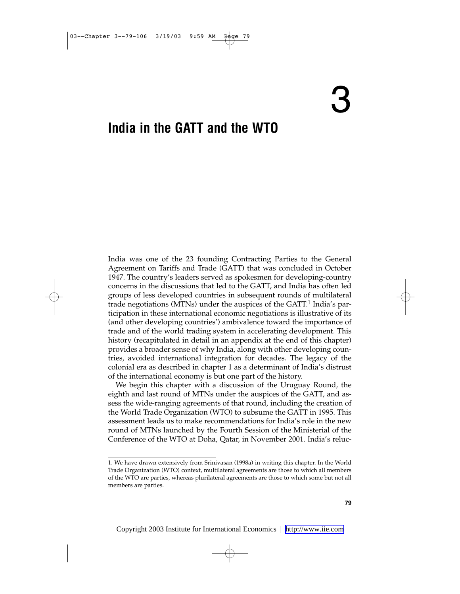# 3

# **India in the GATT and the WTO**

India was one of the 23 founding Contracting Parties to the General Agreement on Tariffs and Trade (GATT) that was concluded in October 1947. The country's leaders served as spokesmen for developing-country concerns in the discussions that led to the GATT, and India has often led groups of less developed countries in subsequent rounds of multilateral trade negotiations (MTNs) under the auspices of the GATT.<sup>1</sup> India's participation in these international economic negotiations is illustrative of its (and other developing countries') ambivalence toward the importance of trade and of the world trading system in accelerating development. This history (recapitulated in detail in an appendix at the end of this chapter) provides a broader sense of why India, along with other developing countries, avoided international integration for decades. The legacy of the colonial era as described in chapter 1 as a determinant of India's distrust of the international economy is but one part of the history.

We begin this chapter with a discussion of the Uruguay Round, the eighth and last round of MTNs under the auspices of the GATT, and assess the wide-ranging agreements of that round, including the creation of the World Trade Organization (WTO) to subsume the GATT in 1995. This assessment leads us to make recommendations for India's role in the new round of MTNs launched by the Fourth Session of the Ministerial of the Conference of the WTO at Doha, Qatar, in November 2001. India's reluc-

<sup>1.</sup> We have drawn extensively from Srinivasan (1998a) in writing this chapter. In the World Trade Organization (WTO) context, multilateral agreements are those to which all members of the WTO are parties, whereas plurilateral agreements are those to which some but not all members are parties.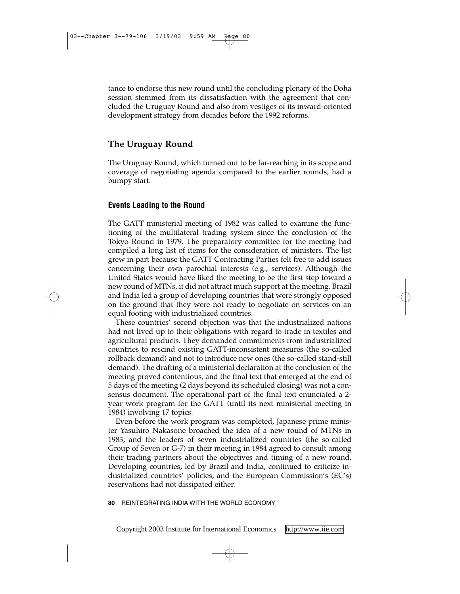tance to endorse this new round until the concluding plenary of the Doha session stemmed from its dissatisfaction with the agreement that concluded the Uruguay Round and also from vestiges of its inward-oriented development strategy from decades before the 1992 reforms.

# **The Uruguay Round**

The Uruguay Round, which turned out to be far-reaching in its scope and coverage of negotiating agenda compared to the earlier rounds, had a bumpy start.

# **Events Leading to the Round**

The GATT ministerial meeting of 1982 was called to examine the functioning of the multilateral trading system since the conclusion of the Tokyo Round in 1979. The preparatory committee for the meeting had compiled a long list of items for the consideration of ministers. The list grew in part because the GATT Contracting Parties felt free to add issues concerning their own parochial interests (e.g., services). Although the United States would have liked the meeting to be the first step toward a new round of MTNs, it did not attract much support at the meeting. Brazil and India led a group of developing countries that were strongly opposed on the ground that they were not ready to negotiate on services on an equal footing with industrialized countries.

These countries' second objection was that the industrialized nations had not lived up to their obligations with regard to trade in textiles and agricultural products. They demanded commitments from industrialized countries to rescind existing GATT-inconsistent measures (the so-called rollback demand) and not to introduce new ones (the so-called stand-still demand). The drafting of a ministerial declaration at the conclusion of the meeting proved contentious, and the final text that emerged at the end of 5 days of the meeting (2 days beyond its scheduled closing) was not a consensus document. The operational part of the final text enunciated a 2 year work program for the GATT (until its next ministerial meeting in 1984) involving 17 topics.

Even before the work program was completed, Japanese prime minister Yasuhiro Nakasone broached the idea of a new round of MTNs in 1983, and the leaders of seven industrialized countries (the so-called Group of Seven or G-7) in their meeting in 1984 agreed to consult among their trading partners about the objectives and timing of a new round. Developing countries, led by Brazil and India, continued to criticize industrialized countries' policies, and the European Commission's (EC's) reservations had not dissipated either.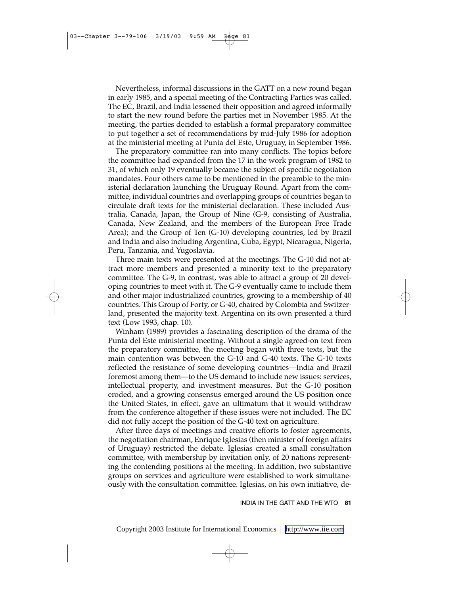Nevertheless, informal discussions in the GATT on a new round began in early 1985, and a special meeting of the Contracting Parties was called. The EC, Brazil, and India lessened their opposition and agreed informally to start the new round before the parties met in November 1985. At the meeting, the parties decided to establish a formal preparatory committee to put together a set of recommendations by mid-July 1986 for adoption at the ministerial meeting at Punta del Este, Uruguay, in September 1986.

The preparatory committee ran into many conflicts. The topics before the committee had expanded from the 17 in the work program of 1982 to 31, of which only 19 eventually became the subject of specific negotiation mandates. Four others came to be mentioned in the preamble to the ministerial declaration launching the Uruguay Round. Apart from the committee, individual countries and overlapping groups of countries began to circulate draft texts for the ministerial declaration. These included Australia, Canada, Japan, the Group of Nine (G-9, consisting of Australia, Canada, New Zealand, and the members of the European Free Trade Area); and the Group of Ten (G-10) developing countries, led by Brazil and India and also including Argentina, Cuba, Egypt, Nicaragua, Nigeria, Peru, Tanzania, and Yugoslavia.

Three main texts were presented at the meetings. The G-10 did not attract more members and presented a minority text to the preparatory committee. The G-9, in contrast, was able to attract a group of 20 developing countries to meet with it. The G-9 eventually came to include them and other major industrialized countries, growing to a membership of 40 countries. This Group of Forty, or G-40, chaired by Colombia and Switzerland, presented the majority text. Argentina on its own presented a third text (Low 1993, chap. 10).

Winham (1989) provides a fascinating description of the drama of the Punta del Este ministerial meeting. Without a single agreed-on text from the preparatory committee, the meeting began with three texts, but the main contention was between the G-10 and G-40 texts. The G-10 texts reflected the resistance of some developing countries—India and Brazil foremost among them—to the US demand to include new issues: services, intellectual property, and investment measures. But the G-10 position eroded, and a growing consensus emerged around the US position once the United States, in effect, gave an ultimatum that it would withdraw from the conference altogether if these issues were not included. The EC did not fully accept the position of the G-40 text on agriculture.

After three days of meetings and creative efforts to foster agreements, the negotiation chairman, Enrique Iglesias (then minister of foreign affairs of Uruguay) restricted the debate. Iglesias created a small consultation committee, with membership by invitation only, of 20 nations representing the contending positions at the meeting. In addition, two substantive groups on services and agriculture were established to work simultaneously with the consultation committee. Iglesias, on his own initiative, de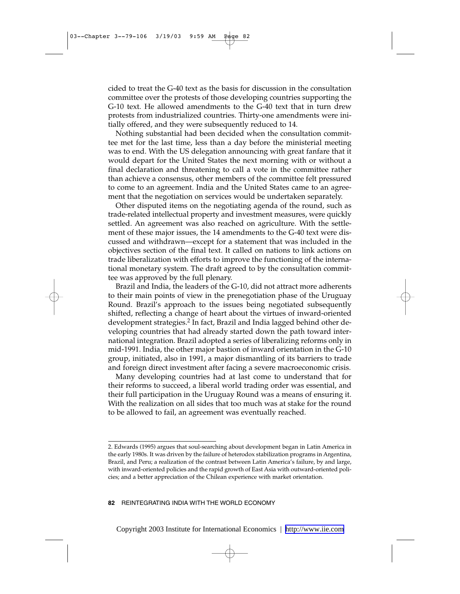cided to treat the G-40 text as the basis for discussion in the consultation committee over the protests of those developing countries supporting the G-10 text. He allowed amendments to the G-40 text that in turn drew protests from industrialized countries. Thirty-one amendments were initially offered, and they were subsequently reduced to 14.

Nothing substantial had been decided when the consultation committee met for the last time, less than a day before the ministerial meeting was to end. With the US delegation announcing with great fanfare that it would depart for the United States the next morning with or without a final declaration and threatening to call a vote in the committee rather than achieve a consensus, other members of the committee felt pressured to come to an agreement. India and the United States came to an agreement that the negotiation on services would be undertaken separately.

Other disputed items on the negotiating agenda of the round, such as trade-related intellectual property and investment measures, were quickly settled. An agreement was also reached on agriculture. With the settlement of these major issues, the 14 amendments to the G-40 text were discussed and withdrawn—except for a statement that was included in the objectives section of the final text. It called on nations to link actions on trade liberalization with efforts to improve the functioning of the international monetary system. The draft agreed to by the consultation committee was approved by the full plenary.

Brazil and India, the leaders of the G-10, did not attract more adherents to their main points of view in the prenegotiation phase of the Uruguay Round. Brazil's approach to the issues being negotiated subsequently shifted, reflecting a change of heart about the virtues of inward-oriented development strategies.<sup>2</sup> In fact, Brazil and India lagged behind other developing countries that had already started down the path toward international integration. Brazil adopted a series of liberalizing reforms only in mid-1991. India, the other major bastion of inward orientation in the G-10 group, initiated, also in 1991, a major dismantling of its barriers to trade and foreign direct investment after facing a severe macroeconomic crisis.

Many developing countries had at last come to understand that for their reforms to succeed, a liberal world trading order was essential, and their full participation in the Uruguay Round was a means of ensuring it. With the realization on all sides that too much was at stake for the round to be allowed to fail, an agreement was eventually reached.

<sup>2.</sup> Edwards (1995) argues that soul-searching about development began in Latin America in the early 1980s. It was driven by the failure of heterodox stabilization programs in Argentina, Brazil, and Peru; a realization of the contrast between Latin America's failure, by and large, with inward-oriented policies and the rapid growth of East Asia with outward-oriented policies; and a better appreciation of the Chilean experience with market orientation.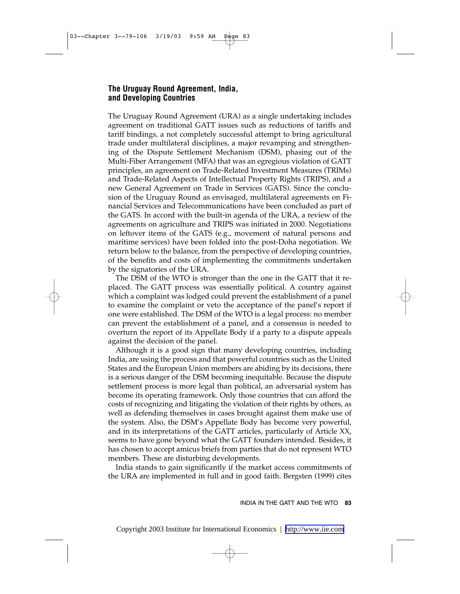# **The Uruguay Round Agreement, India, and Developing Countries**

The Uruguay Round Agreement (URA) as a single undertaking includes agreement on traditional GATT issues such as reductions of tariffs and tariff bindings, a not completely successful attempt to bring agricultural trade under multilateral disciplines, a major revamping and strengthening of the Dispute Settlement Mechanism (DSM), phasing out of the Multi-Fiber Arrangement (MFA) that was an egregious violation of GATT principles, an agreement on Trade-Related Investment Measures (TRIMs) and Trade-Related Aspects of Intellectual Property Rights (TRIPS), and a new General Agreement on Trade in Services (GATS). Since the conclusion of the Uruguay Round as envisaged, multilateral agreements on Financial Services and Telecommunications have been concluded as part of the GATS. In accord with the built-in agenda of the URA, a review of the agreements on agriculture and TRIPS was initiated in 2000. Negotiations on leftover items of the GATS (e.g., movement of natural persons and maritime services) have been folded into the post-Doha negotiation. We return below to the balance, from the perspective of developing countries, of the benefits and costs of implementing the commitments undertaken by the signatories of the URA.

The DSM of the WTO is stronger than the one in the GATT that it replaced. The GATT process was essentially political. A country against which a complaint was lodged could prevent the establishment of a panel to examine the complaint or veto the acceptance of the panel's report if one were established. The DSM of the WTO is a legal process: no member can prevent the establishment of a panel, and a consensus is needed to overturn the report of its Appellate Body if a party to a dispute appeals against the decision of the panel.

Although it is a good sign that many developing countries, including India, are using the process and that powerful countries such as the United States and the European Union members are abiding by its decisions, there is a serious danger of the DSM becoming inequitable. Because the dispute settlement process is more legal than political, an adversarial system has become its operating framework. Only those countries that can afford the costs of recognizing and litigating the violation of their rights by others, as well as defending themselves in cases brought against them make use of the system. Also, the DSM's Appellate Body has become very powerful, and in its interpretations of the GATT articles, particularly of Article XX, seems to have gone beyond what the GATT founders intended. Besides, it has chosen to accept amicus briefs from parties that do not represent WTO members. These are disturbing developments.

India stands to gain significantly if the market access commitments of the URA are implemented in full and in good faith. Bergsten (1999) cites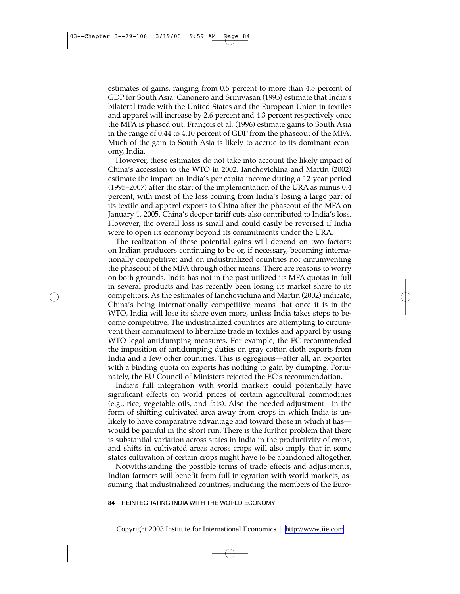estimates of gains, ranging from 0.5 percent to more than 4.5 percent of GDP for South Asia. Canonero and Srinivasan (1995) estimate that India's bilateral trade with the United States and the European Union in textiles and apparel will increase by 2.6 percent and 4.3 percent respectively once the MFA is phased out. François et al. (1996) estimate gains to South Asia in the range of 0.44 to 4.10 percent of GDP from the phaseout of the MFA. Much of the gain to South Asia is likely to accrue to its dominant economy, India.

However, these estimates do not take into account the likely impact of China's accession to the WTO in 2002. Ianchovichina and Martin (2002) estimate the impact on India's per capita income during a 12-year period (1995–2007) after the start of the implementation of the URA as minus 0.4 percent, with most of the loss coming from India's losing a large part of its textile and apparel exports to China after the phaseout of the MFA on January 1, 2005. China's deeper tariff cuts also contributed to India's loss. However, the overall loss is small and could easily be reversed if India were to open its economy beyond its commitments under the URA.

The realization of these potential gains will depend on two factors: on Indian producers continuing to be or, if necessary, becoming internationally competitive; and on industrialized countries not circumventing the phaseout of the MFA through other means. There are reasons to worry on both grounds. India has not in the past utilized its MFA quotas in full in several products and has recently been losing its market share to its competitors. As the estimates of Ianchovichina and Martin (2002) indicate, China's being internationally competitive means that once it is in the WTO, India will lose its share even more, unless India takes steps to become competitive. The industrialized countries are attempting to circumvent their commitment to liberalize trade in textiles and apparel by using WTO legal antidumping measures. For example, the EC recommended the imposition of antidumping duties on gray cotton cloth exports from India and a few other countries. This is egregious—after all, an exporter with a binding quota on exports has nothing to gain by dumping. Fortunately, the EU Council of Ministers rejected the EC's recommendation.

India's full integration with world markets could potentially have significant effects on world prices of certain agricultural commodities (e.g., rice, vegetable oils, and fats). Also the needed adjustment—in the form of shifting cultivated area away from crops in which India is unlikely to have comparative advantage and toward those in which it has would be painful in the short run. There is the further problem that there is substantial variation across states in India in the productivity of crops, and shifts in cultivated areas across crops will also imply that in some states cultivation of certain crops might have to be abandoned altogether.

Notwithstanding the possible terms of trade effects and adjustments, Indian farmers will benefit from full integration with world markets, assuming that industrialized countries, including the members of the Euro-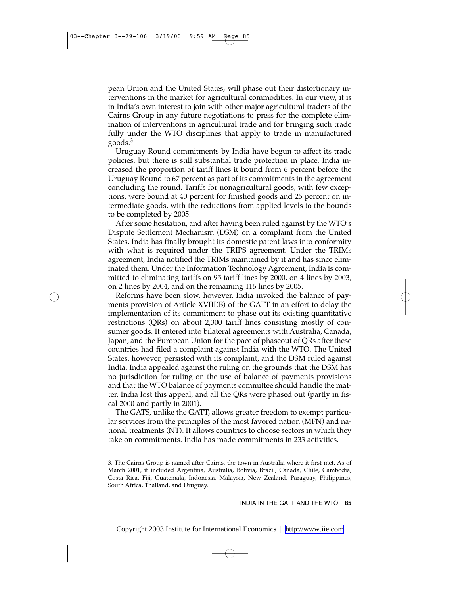pean Union and the United States, will phase out their distortionary interventions in the market for agricultural commodities. In our view, it is in India's own interest to join with other major agricultural traders of the Cairns Group in any future negotiations to press for the complete elimination of interventions in agricultural trade and for bringing such trade fully under the WTO disciplines that apply to trade in manufactured goods.3

Uruguay Round commitments by India have begun to affect its trade policies, but there is still substantial trade protection in place. India increased the proportion of tariff lines it bound from 6 percent before the Uruguay Round to 67 percent as part of its commitments in the agreement concluding the round. Tariffs for nonagricultural goods, with few exceptions, were bound at 40 percent for finished goods and 25 percent on intermediate goods, with the reductions from applied levels to the bounds to be completed by 2005.

After some hesitation, and after having been ruled against by the WTO's Dispute Settlement Mechanism (DSM) on a complaint from the United States, India has finally brought its domestic patent laws into conformity with what is required under the TRIPS agreement. Under the TRIMs agreement, India notified the TRIMs maintained by it and has since eliminated them. Under the Information Technology Agreement, India is committed to eliminating tariffs on 95 tariff lines by 2000, on 4 lines by 2003, on 2 lines by 2004, and on the remaining 116 lines by 2005.

Reforms have been slow, however. India invoked the balance of payments provision of Article XVIII(B) of the GATT in an effort to delay the implementation of its commitment to phase out its existing quantitative restrictions (QRs) on about 2,300 tariff lines consisting mostly of consumer goods. It entered into bilateral agreements with Australia, Canada, Japan, and the European Union for the pace of phaseout of QRs after these countries had filed a complaint against India with the WTO. The United States, however, persisted with its complaint, and the DSM ruled against India. India appealed against the ruling on the grounds that the DSM has no jurisdiction for ruling on the use of balance of payments provisions and that the WTO balance of payments committee should handle the matter. India lost this appeal, and all the QRs were phased out (partly in fiscal 2000 and partly in 2001).

The GATS, unlike the GATT, allows greater freedom to exempt particular services from the principles of the most favored nation (MFN) and national treatments (NT). It allows countries to choose sectors in which they take on commitments. India has made commitments in 233 activities.

<sup>3.</sup> The Cairns Group is named after Cairns, the town in Australia where it first met. As of March 2001, it included Argentina, Australia, Bolivia, Brazil, Canada, Chile, Cambodia, Costa Rica, Fiji, Guatemala, Indonesia, Malaysia, New Zealand, Paraguay, Philippines, South Africa, Thailand, and Uruguay.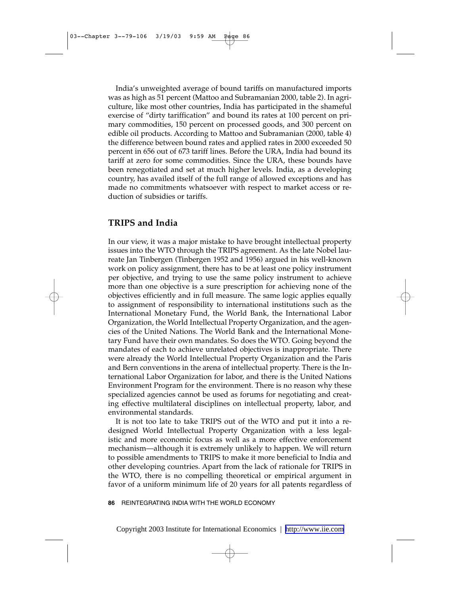India's unweighted average of bound tariffs on manufactured imports was as high as 51 percent (Mattoo and Subramanian 2000, table 2). In agriculture, like most other countries, India has participated in the shameful exercise of "dirty tariffication" and bound its rates at 100 percent on primary commodities, 150 percent on processed goods, and 300 percent on edible oil products. According to Mattoo and Subramanian (2000, table 4) the difference between bound rates and applied rates in 2000 exceeded 50 percent in 656 out of 673 tariff lines. Before the URA, India had bound its tariff at zero for some commodities. Since the URA, these bounds have been renegotiated and set at much higher levels. India, as a developing country, has availed itself of the full range of allowed exceptions and has made no commitments whatsoever with respect to market access or reduction of subsidies or tariffs.

# **TRIPS and India**

In our view, it was a major mistake to have brought intellectual property issues into the WTO through the TRIPS agreement. As the late Nobel laureate Jan Tinbergen (Tinbergen 1952 and 1956) argued in his well-known work on policy assignment, there has to be at least one policy instrument per objective, and trying to use the same policy instrument to achieve more than one objective is a sure prescription for achieving none of the objectives efficiently and in full measure. The same logic applies equally to assignment of responsibility to international institutions such as the International Monetary Fund, the World Bank, the International Labor Organization, the World Intellectual Property Organization, and the agencies of the United Nations. The World Bank and the International Monetary Fund have their own mandates. So does the WTO. Going beyond the mandates of each to achieve unrelated objectives is inappropriate. There were already the World Intellectual Property Organization and the Paris and Bern conventions in the arena of intellectual property. There is the International Labor Organization for labor, and there is the United Nations Environment Program for the environment. There is no reason why these specialized agencies cannot be used as forums for negotiating and creating effective multilateral disciplines on intellectual property, labor, and environmental standards.

It is not too late to take TRIPS out of the WTO and put it into a redesigned World Intellectual Property Organization with a less legalistic and more economic focus as well as a more effective enforcement mechanism—although it is extremely unlikely to happen. We will return to possible amendments to TRIPS to make it more beneficial to India and other developing countries. Apart from the lack of rationale for TRIPS in the WTO, there is no compelling theoretical or empirical argument in favor of a uniform minimum life of 20 years for all patents regardless of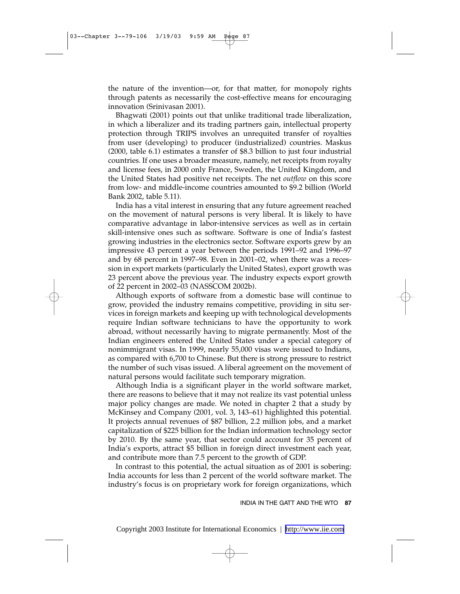the nature of the invention—or, for that matter, for monopoly rights through patents as necessarily the cost-effective means for encouraging innovation (Srinivasan 2001).

Bhagwati (2001) points out that unlike traditional trade liberalization, in which a liberalizer and its trading partners gain, intellectual property protection through TRIPS involves an unrequited transfer of royalties from user (developing) to producer (industrialized) countries. Maskus (2000, table 6.1) estimates a transfer of \$8.3 billion to just four industrial countries. If one uses a broader measure, namely, net receipts from royalty and license fees, in 2000 only France, Sweden, the United Kingdom, and the United States had positive net receipts. The net *outflow* on this score from low- and middle-income countries amounted to \$9.2 billion (World Bank 2002, table 5.11).

India has a vital interest in ensuring that any future agreement reached on the movement of natural persons is very liberal. It is likely to have comparative advantage in labor-intensive services as well as in certain skill-intensive ones such as software. Software is one of India's fastest growing industries in the electronics sector. Software exports grew by an impressive 43 percent a year between the periods 1991–92 and 1996–97 and by 68 percent in 1997–98. Even in 2001–02, when there was a recession in export markets (particularly the United States), export growth was 23 percent above the previous year. The industry expects export growth of 22 percent in 2002–03 (NASSCOM 2002b).

Although exports of software from a domestic base will continue to grow, provided the industry remains competitive, providing in situ services in foreign markets and keeping up with technological developments require Indian software technicians to have the opportunity to work abroad, without necessarily having to migrate permanently. Most of the Indian engineers entered the United States under a special category of nonimmigrant visas. In 1999, nearly 55,000 visas were issued to Indians, as compared with 6,700 to Chinese. But there is strong pressure to restrict the number of such visas issued. A liberal agreement on the movement of natural persons would facilitate such temporary migration.

Although India is a significant player in the world software market, there are reasons to believe that it may not realize its vast potential unless major policy changes are made. We noted in chapter 2 that a study by McKinsey and Company (2001, vol. 3, 143–61) highlighted this potential. It projects annual revenues of \$87 billion, 2.2 million jobs, and a market capitalization of \$225 billion for the Indian information technology sector by 2010. By the same year, that sector could account for 35 percent of India's exports, attract \$5 billion in foreign direct investment each year, and contribute more than 7.5 percent to the growth of GDP.

In contrast to this potential, the actual situation as of 2001 is sobering: India accounts for less than 2 percent of the world software market. The industry's focus is on proprietary work for foreign organizations, which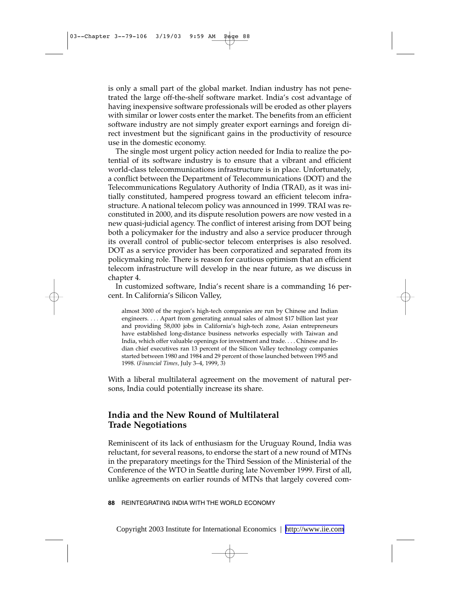is only a small part of the global market. Indian industry has not penetrated the large off-the-shelf software market. India's cost advantage of having inexpensive software professionals will be eroded as other players with similar or lower costs enter the market. The benefits from an efficient software industry are not simply greater export earnings and foreign direct investment but the significant gains in the productivity of resource use in the domestic economy.

The single most urgent policy action needed for India to realize the potential of its software industry is to ensure that a vibrant and efficient world-class telecommunications infrastructure is in place. Unfortunately, a conflict between the Department of Telecommunications (DOT) and the Telecommunications Regulatory Authority of India (TRAI), as it was initially constituted, hampered progress toward an efficient telecom infrastructure. A national telecom policy was announced in 1999. TRAI was reconstituted in 2000, and its dispute resolution powers are now vested in a new quasi-judicial agency. The conflict of interest arising from DOT being both a policymaker for the industry and also a service producer through its overall control of public-sector telecom enterprises is also resolved. DOT as a service provider has been corporatized and separated from its policymaking role. There is reason for cautious optimism that an efficient telecom infrastructure will develop in the near future, as we discuss in chapter 4.

In customized software, India's recent share is a commanding 16 percent. In California's Silicon Valley,

almost 3000 of the region's high-tech companies are run by Chinese and Indian engineers. . . . Apart from generating annual sales of almost \$17 billion last year and providing 58,000 jobs in California's high-tech zone, Asian entrepreneurs have established long-distance business networks especially with Taiwan and India, which offer valuable openings for investment and trade. . . . Chinese and Indian chief executives ran 13 percent of the Silicon Valley technology companies started between 1980 and 1984 and 29 percent of those launched between 1995 and 1998. (*Financial Times,* July 3–4, 1999, 3)

With a liberal multilateral agreement on the movement of natural persons, India could potentially increase its share.

# **India and the New Round of Multilateral Trade Negotiations**

Reminiscent of its lack of enthusiasm for the Uruguay Round, India was reluctant, for several reasons, to endorse the start of a new round of MTNs in the preparatory meetings for the Third Session of the Ministerial of the Conference of the WTO in Seattle during late November 1999. First of all, unlike agreements on earlier rounds of MTNs that largely covered com-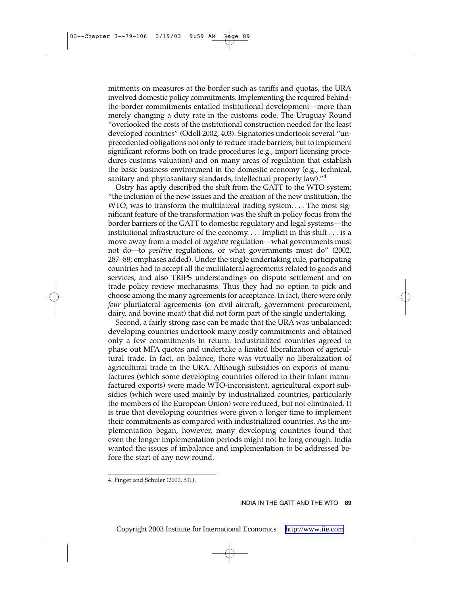mitments on measures at the border such as tariffs and quotas, the URA involved domestic policy commitments. Implementing the required behindthe-border commitments entailed institutional development—more than merely changing a duty rate in the customs code. The Uruguay Round "overlooked the costs of the institutional construction needed for the least developed countries" (Odell 2002, 403). Signatories undertook several "unprecedented obligations not only to reduce trade barriers, but to implement significant reforms both on trade procedures (e.g., import licensing procedures customs valuation) and on many areas of regulation that establish the basic business environment in the domestic economy (e.g., technical, sanitary and phytosanitary standards, intellectual property law)."<sup>4</sup>

Ostry has aptly described the shift from the GATT to the WTO system: "the inclusion of the new issues and the creation of the new institution, the WTO, was to transform the multilateral trading system. . . . The most significant feature of the transformation was the shift in policy focus from the border barriers of the GATT to domestic regulatory and legal systems—the institutional infrastructure of the economy. . . . Implicit in this shift . . . is a move away from a model of *negative* regulation—what governments must not do—to *positive* regulations, or what governments must do" (2002, 287–88; emphases added). Under the single undertaking rule, participating countries had to accept all the multilateral agreements related to goods and services, and also TRIPS understandings on dispute settlement and on trade policy review mechanisms. Thus they had no option to pick and choose among the many agreements for acceptance. In fact, there were only *four* plurilateral agreements (on civil aircraft, government procurement, dairy, and bovine meat) that did not form part of the single undertaking.

Second, a fairly strong case can be made that the URA was unbalanced: developing countries undertook many costly commitments and obtained only a few commitments in return. Industrialized countries agreed to phase out MFA quotas and undertake a limited liberalization of agricultural trade. In fact, on balance, there was virtually no liberalization of agricultural trade in the URA. Although subsidies on exports of manufactures (which some developing countries offered to their infant manufactured exports) were made WTO-inconsistent, agricultural export subsidies (which were used mainly by industrialized countries, particularly the members of the European Union) were reduced, but not eliminated. It is true that developing countries were given a longer time to implement their commitments as compared with industrialized countries. As the implementation began, however, many developing countries found that even the longer implementation periods might not be long enough. India wanted the issues of imbalance and implementation to be addressed before the start of any new round.

INDIA IN THE GATT AND THE WTO **89**

<sup>4.</sup> Finger and Schuler (2000, 511).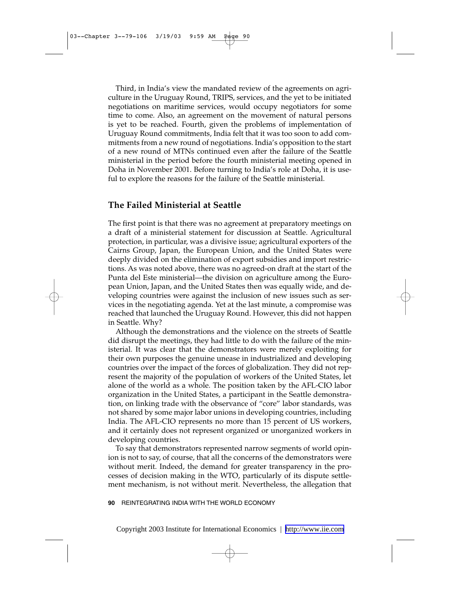Third, in India's view the mandated review of the agreements on agriculture in the Uruguay Round, TRIPS, services, and the yet to be initiated negotiations on maritime services, would occupy negotiators for some time to come. Also, an agreement on the movement of natural persons is yet to be reached. Fourth, given the problems of implementation of Uruguay Round commitments, India felt that it was too soon to add commitments from a new round of negotiations. India's opposition to the start of a new round of MTNs continued even after the failure of the Seattle ministerial in the period before the fourth ministerial meeting opened in Doha in November 2001. Before turning to India's role at Doha, it is useful to explore the reasons for the failure of the Seattle ministerial.

# **The Failed Ministerial at Seattle**

The first point is that there was no agreement at preparatory meetings on a draft of a ministerial statement for discussion at Seattle. Agricultural protection, in particular, was a divisive issue; agricultural exporters of the Cairns Group, Japan, the European Union, and the United States were deeply divided on the elimination of export subsidies and import restrictions. As was noted above, there was no agreed-on draft at the start of the Punta del Este ministerial—the division on agriculture among the European Union, Japan, and the United States then was equally wide, and developing countries were against the inclusion of new issues such as services in the negotiating agenda. Yet at the last minute, a compromise was reached that launched the Uruguay Round. However, this did not happen in Seattle. Why?

Although the demonstrations and the violence on the streets of Seattle did disrupt the meetings, they had little to do with the failure of the ministerial. It was clear that the demonstrators were merely exploiting for their own purposes the genuine unease in industrialized and developing countries over the impact of the forces of globalization. They did not represent the majority of the population of workers of the United States, let alone of the world as a whole. The position taken by the AFL-CIO labor organization in the United States, a participant in the Seattle demonstration, on linking trade with the observance of "core" labor standards, was not shared by some major labor unions in developing countries, including India. The AFL-CIO represents no more than 15 percent of US workers, and it certainly does not represent organized or unorganized workers in developing countries.

To say that demonstrators represented narrow segments of world opinion is not to say, of course, that all the concerns of the demonstrators were without merit. Indeed, the demand for greater transparency in the processes of decision making in the WTO, particularly of its dispute settlement mechanism, is not without merit. Nevertheless, the allegation that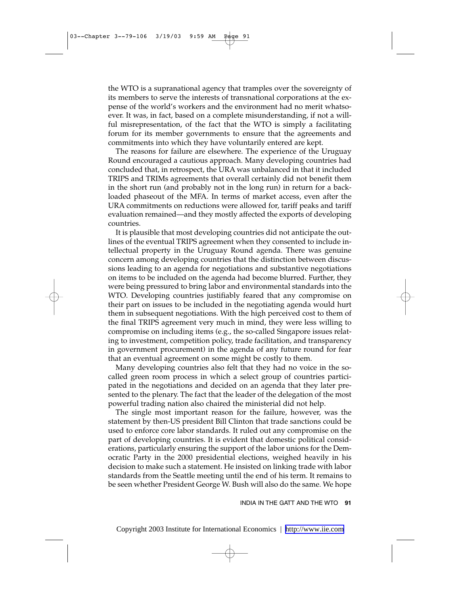the WTO is a supranational agency that tramples over the sovereignty of its members to serve the interests of transnational corporations at the expense of the world's workers and the environment had no merit whatsoever. It was, in fact, based on a complete misunderstanding, if not a willful misrepresentation, of the fact that the WTO is simply a facilitating forum for its member governments to ensure that the agreements and commitments into which they have voluntarily entered are kept.

The reasons for failure are elsewhere. The experience of the Uruguay Round encouraged a cautious approach. Many developing countries had concluded that, in retrospect, the URA was unbalanced in that it included TRIPS and TRIMs agreements that overall certainly did not benefit them in the short run (and probably not in the long run) in return for a backloaded phaseout of the MFA. In terms of market access, even after the URA commitments on reductions were allowed for, tariff peaks and tariff evaluation remained—and they mostly affected the exports of developing countries.

It is plausible that most developing countries did not anticipate the outlines of the eventual TRIPS agreement when they consented to include intellectual property in the Uruguay Round agenda. There was genuine concern among developing countries that the distinction between discussions leading to an agenda for negotiations and substantive negotiations on items to be included on the agenda had become blurred. Further, they were being pressured to bring labor and environmental standards into the WTO. Developing countries justifiably feared that any compromise on their part on issues to be included in the negotiating agenda would hurt them in subsequent negotiations. With the high perceived cost to them of the final TRIPS agreement very much in mind, they were less willing to compromise on including items (e.g., the so-called Singapore issues relating to investment, competition policy, trade facilitation, and transparency in government procurement) in the agenda of any future round for fear that an eventual agreement on some might be costly to them.

Many developing countries also felt that they had no voice in the socalled green room process in which a select group of countries participated in the negotiations and decided on an agenda that they later presented to the plenary. The fact that the leader of the delegation of the most powerful trading nation also chaired the ministerial did not help.

The single most important reason for the failure, however, was the statement by then-US president Bill Clinton that trade sanctions could be used to enforce core labor standards. It ruled out any compromise on the part of developing countries. It is evident that domestic political considerations, particularly ensuring the support of the labor unions for the Democratic Party in the 2000 presidential elections, weighed heavily in his decision to make such a statement. He insisted on linking trade with labor standards from the Seattle meeting until the end of his term. It remains to be seen whether President George W. Bush will also do the same. We hope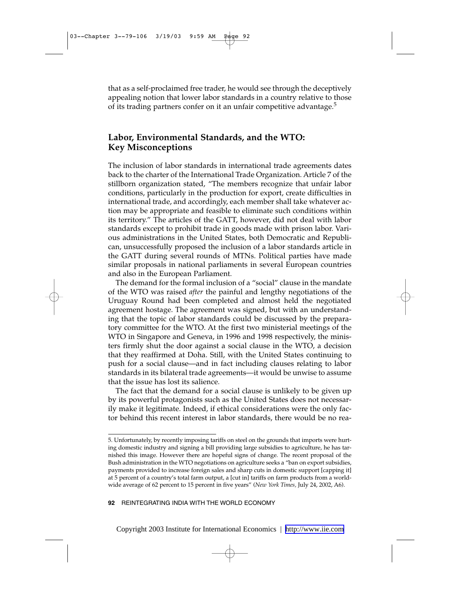that as a self-proclaimed free trader, he would see through the deceptively appealing notion that lower labor standards in a country relative to those of its trading partners confer on it an unfair competitive advantage.<sup>5</sup>

# **Labor, Environmental Standards, and the WTO: Key Misconceptions**

The inclusion of labor standards in international trade agreements dates back to the charter of the International Trade Organization. Article 7 of the stillborn organization stated, "The members recognize that unfair labor conditions, particularly in the production for export, create difficulties in international trade, and accordingly, each member shall take whatever action may be appropriate and feasible to eliminate such conditions within its territory." The articles of the GATT, however, did not deal with labor standards except to prohibit trade in goods made with prison labor. Various administrations in the United States, both Democratic and Republican, unsuccessfully proposed the inclusion of a labor standards article in the GATT during several rounds of MTNs. Political parties have made similar proposals in national parliaments in several European countries and also in the European Parliament.

The demand for the formal inclusion of a "social" clause in the mandate of the WTO was raised *after* the painful and lengthy negotiations of the Uruguay Round had been completed and almost held the negotiated agreement hostage. The agreement was signed, but with an understanding that the topic of labor standards could be discussed by the preparatory committee for the WTO. At the first two ministerial meetings of the WTO in Singapore and Geneva, in 1996 and 1998 respectively, the ministers firmly shut the door against a social clause in the WTO, a decision that they reaffirmed at Doha. Still, with the United States continuing to push for a social clause—and in fact including clauses relating to labor standards in its bilateral trade agreements—it would be unwise to assume that the issue has lost its salience.

The fact that the demand for a social clause is unlikely to be given up by its powerful protagonists such as the United States does not necessarily make it legitimate. Indeed, if ethical considerations were the only factor behind this recent interest in labor standards, there would be no rea-

<sup>5.</sup> Unfortunately, by recently imposing tariffs on steel on the grounds that imports were hurting domestic industry and signing a bill providing large subsidies to agriculture, he has tarnished this image. However there are hopeful signs of change. The recent proposal of the Bush administration in the WTO negotiations on agriculture seeks a "ban on export subsidies, payments provided to increase foreign sales and sharp cuts in domestic support [capping it] at 5 percent of a country's total farm output, a [cut in] tariffs on farm products from a worldwide average of 62 percent to 15 percent in five years" (*New York Times,* July 24, 2002, A6).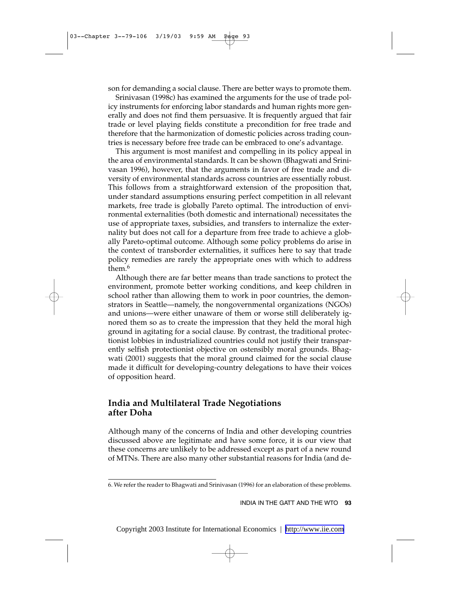son for demanding a social clause. There are better ways to promote them.

Srinivasan (1998c) has examined the arguments for the use of trade policy instruments for enforcing labor standards and human rights more generally and does not find them persuasive. It is frequently argued that fair trade or level playing fields constitute a precondition for free trade and therefore that the harmonization of domestic policies across trading countries is necessary before free trade can be embraced to one's advantage.

This argument is most manifest and compelling in its policy appeal in the area of environmental standards. It can be shown (Bhagwati and Srinivasan 1996), however, that the arguments in favor of free trade and diversity of environmental standards across countries are essentially robust. This follows from a straightforward extension of the proposition that, under standard assumptions ensuring perfect competition in all relevant markets, free trade is globally Pareto optimal. The introduction of environmental externalities (both domestic and international) necessitates the use of appropriate taxes, subsidies, and transfers to internalize the externality but does not call for a departure from free trade to achieve a globally Pareto-optimal outcome. Although some policy problems do arise in the context of transborder externalities, it suffices here to say that trade policy remedies are rarely the appropriate ones with which to address them.<sup>6</sup>

Although there are far better means than trade sanctions to protect the environment, promote better working conditions, and keep children in school rather than allowing them to work in poor countries, the demonstrators in Seattle—namely, the nongovernmental organizations (NGOs) and unions—were either unaware of them or worse still deliberately ignored them so as to create the impression that they held the moral high ground in agitating for a social clause. By contrast, the traditional protectionist lobbies in industrialized countries could not justify their transparently selfish protectionist objective on ostensibly moral grounds. Bhagwati (2001) suggests that the moral ground claimed for the social clause made it difficult for developing-country delegations to have their voices of opposition heard.

# **India and Multilateral Trade Negotiations after Doha**

Although many of the concerns of India and other developing countries discussed above are legitimate and have some force, it is our view that these concerns are unlikely to be addressed except as part of a new round of MTNs. There are also many other substantial reasons for India (and de-

<sup>6.</sup> We refer the reader to Bhagwati and Srinivasan (1996) for an elaboration of these problems.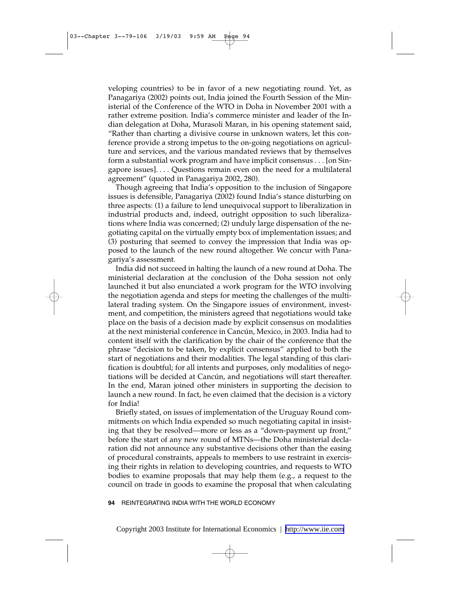veloping countries) to be in favor of a new negotiating round. Yet, as Panagariya (2002) points out, India joined the Fourth Session of the Ministerial of the Conference of the WTO in Doha in November 2001 with a rather extreme position. India's commerce minister and leader of the Indian delegation at Doha, Murasoli Maran, in his opening statement said, "Rather than charting a divisive course in unknown waters, let this conference provide a strong impetus to the on-going negotiations on agriculture and services, and the various mandated reviews that by themselves form a substantial work program and have implicit consensus . . . [on Singapore issues]. . . . Questions remain even on the need for a multilateral agreement" (quoted in Panagariya 2002, 280).

Though agreeing that India's opposition to the inclusion of Singapore issues is defensible, Panagariya (2002) found India's stance disturbing on three aspects: (1) a failure to lend unequivocal support to liberalization in industrial products and, indeed, outright opposition to such liberalizations where India was concerned; (2) unduly large dispensation of the negotiating capital on the virtually empty box of implementation issues; and (3) posturing that seemed to convey the impression that India was opposed to the launch of the new round altogether. We concur with Panagariya's assessment.

India did not succeed in halting the launch of a new round at Doha. The ministerial declaration at the conclusion of the Doha session not only launched it but also enunciated a work program for the WTO involving the negotiation agenda and steps for meeting the challenges of the multilateral trading system. On the Singapore issues of environment, investment, and competition, the ministers agreed that negotiations would take place on the basis of a decision made by explicit consensus on modalities at the next ministerial conference in Cancún, Mexico, in 2003. India had to content itself with the clarification by the chair of the conference that the phrase "decision to be taken, by explicit consensus" applied to both the start of negotiations and their modalities. The legal standing of this clarification is doubtful; for all intents and purposes, only modalities of negotiations will be decided at Cancún, and negotiations will start thereafter. In the end, Maran joined other ministers in supporting the decision to launch a new round. In fact, he even claimed that the decision is a victory for India!

Briefly stated, on issues of implementation of the Uruguay Round commitments on which India expended so much negotiating capital in insisting that they be resolved—more or less as a "down-payment up front," before the start of any new round of MTNs—the Doha ministerial declaration did not announce any substantive decisions other than the easing of procedural constraints, appeals to members to use restraint in exercising their rights in relation to developing countries, and requests to WTO bodies to examine proposals that may help them (e.g., a request to the council on trade in goods to examine the proposal that when calculating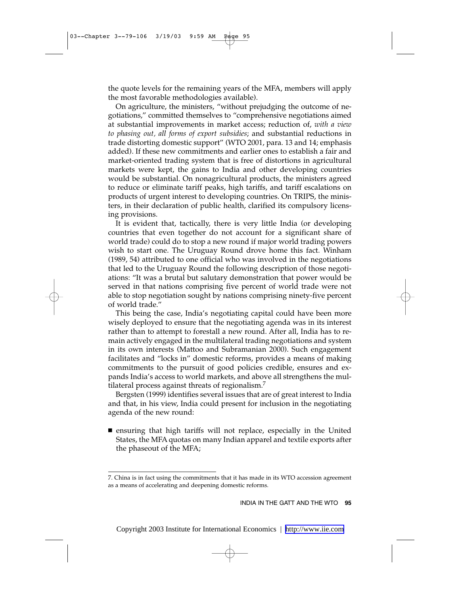the quote levels for the remaining years of the MFA, members will apply the most favorable methodologies available).

On agriculture, the ministers, "without prejudging the outcome of negotiations," committed themselves to "comprehensive negotiations aimed at substantial improvements in market access; reduction of, *with a view to phasing out, all forms of export subsidies*; and substantial reductions in trade distorting domestic support" (WTO 2001, para. 13 and 14; emphasis added). If these new commitments and earlier ones to establish a fair and market-oriented trading system that is free of distortions in agricultural markets were kept, the gains to India and other developing countries would be substantial. On nonagricultural products, the ministers agreed to reduce or eliminate tariff peaks, high tariffs, and tariff escalations on products of urgent interest to developing countries. On TRIPS, the ministers, in their declaration of public health, clarified its compulsory licensing provisions.

It is evident that, tactically, there is very little India (or developing countries that even together do not account for a significant share of world trade) could do to stop a new round if major world trading powers wish to start one. The Uruguay Round drove home this fact. Winham (1989, 54) attributed to one official who was involved in the negotiations that led to the Uruguay Round the following description of those negotiations: "It was a brutal but salutary demonstration that power would be served in that nations comprising five percent of world trade were not able to stop negotiation sought by nations comprising ninety-five percent of world trade."

This being the case, India's negotiating capital could have been more wisely deployed to ensure that the negotiating agenda was in its interest rather than to attempt to forestall a new round. After all, India has to remain actively engaged in the multilateral trading negotiations and system in its own interests (Mattoo and Subramanian 2000). Such engagement facilitates and "locks in" domestic reforms, provides a means of making commitments to the pursuit of good policies credible, ensures and expands India's access to world markets, and above all strengthens the multilateral process against threats of regionalism.<sup>7</sup>

Bergsten (1999) identifies several issues that are of great interest to India and that, in his view, India could present for inclusion in the negotiating agenda of the new round:

- ensuring that high tariffs will not replace, especially in the United States, the MFA quotas on many Indian apparel and textile exports after the phaseout of the MFA;

<sup>7.</sup> China is in fact using the commitments that it has made in its WTO accession agreement as a means of accelerating and deepening domestic reforms.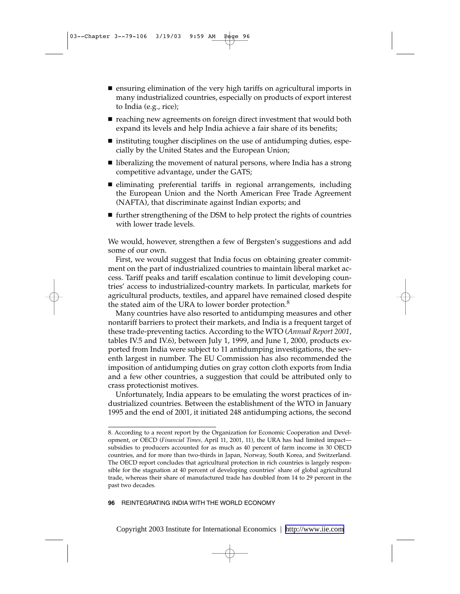- ensuring elimination of the very high tariffs on agricultural imports in many industrialized countries, especially on products of export interest to India (e.g., rice);
- $\blacksquare$  reaching new agreements on foreign direct investment that would both expand its levels and help India achieve a fair share of its benefits;
- instituting tougher disciplines on the use of antidumping duties, especially by the United States and the European Union;
- liberalizing the movement of natural persons, where India has a strong competitive advantage, under the GATS;
- eliminating preferential tariffs in regional arrangements, including the European Union and the North American Free Trade Agreement (NAFTA), that discriminate against Indian exports; and
- $\blacksquare$  further strengthening of the DSM to help protect the rights of countries with lower trade levels.

We would, however, strengthen a few of Bergsten's suggestions and add some of our own.

First, we would suggest that India focus on obtaining greater commitment on the part of industrialized countries to maintain liberal market access. Tariff peaks and tariff escalation continue to limit developing countries' access to industrialized-country markets. In particular, markets for agricultural products, textiles, and apparel have remained closed despite the stated aim of the URA to lower border protection.<sup>8</sup>

Many countries have also resorted to antidumping measures and other nontariff barriers to protect their markets, and India is a frequent target of these trade-preventing tactics. According to the WTO (*Annual Report 2001*, tables IV.5 and IV.6), between July 1, 1999, and June 1, 2000, products exported from India were subject to 11 antidumping investigations, the seventh largest in number. The EU Commission has also recommended the imposition of antidumping duties on gray cotton cloth exports from India and a few other countries, a suggestion that could be attributed only to crass protectionist motives.

Unfortunately, India appears to be emulating the worst practices of industrialized countries. Between the establishment of the WTO in January 1995 and the end of 2001, it initiated 248 antidumping actions, the second

#### **96** REINTEGRATING INDIA WITH THE WORLD ECONOMY

Copyright 2003 Institute for International Economics | <http://www.iie.com>

<sup>8.</sup> According to a recent report by the Organization for Economic Cooperation and Development, or OECD (*Financial Times,* April 11, 2001, 11), the URA has had limited impact subsidies to producers accounted for as much as 40 percent of farm income in 30 OECD countries, and for more than two-thirds in Japan, Norway, South Korea, and Switzerland. The OECD report concludes that agricultural protection in rich countries is largely responsible for the stagnation at 40 percent of developing countries' share of global agricultural trade, whereas their share of manufactured trade has doubled from 14 to 29 percent in the past two decades.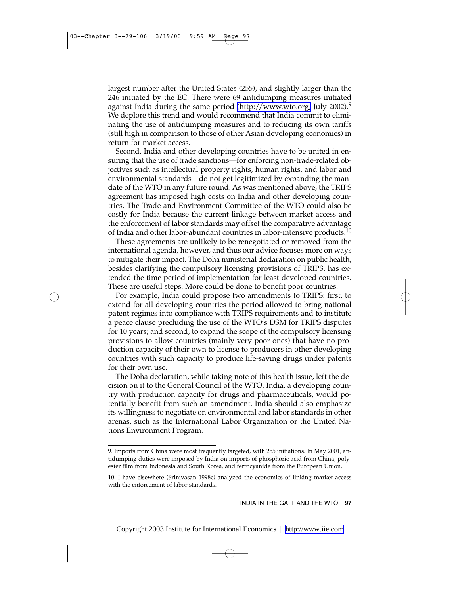largest number after the United States (255), and slightly larger than the 246 initiated by the EC. There were 69 antidumping measures initiated against India during the same period [\(http://www.wto.org,](http://www.wto.org) July 2002).<sup>9</sup> We deplore this trend and would recommend that India commit to eliminating the use of antidumping measures and to reducing its own tariffs (still high in comparison to those of other Asian developing economies) in return for market access.

Second, India and other developing countries have to be united in ensuring that the use of trade sanctions—for enforcing non-trade-related objectives such as intellectual property rights, human rights, and labor and environmental standards—do not get legitimized by expanding the mandate of the WTO in any future round. As was mentioned above, the TRIPS agreement has imposed high costs on India and other developing countries. The Trade and Environment Committee of the WTO could also be costly for India because the current linkage between market access and the enforcement of labor standards may offset the comparative advantage of India and other labor-abundant countries in labor-intensive products.<sup>10</sup>

These agreements are unlikely to be renegotiated or removed from the international agenda, however, and thus our advice focuses more on ways to mitigate their impact. The Doha ministerial declaration on public health, besides clarifying the compulsory licensing provisions of TRIPS, has extended the time period of implementation for least-developed countries. These are useful steps. More could be done to benefit poor countries.

For example, India could propose two amendments to TRIPS: first, to extend for all developing countries the period allowed to bring national patent regimes into compliance with TRIPS requirements and to institute a peace clause precluding the use of the WTO's DSM for TRIPS disputes for 10 years; and second, to expand the scope of the compulsory licensing provisions to allow countries (mainly very poor ones) that have no production capacity of their own to license to producers in other developing countries with such capacity to produce life-saving drugs under patents for their own use.

The Doha declaration, while taking note of this health issue, left the decision on it to the General Council of the WTO. India, a developing country with production capacity for drugs and pharmaceuticals, would potentially benefit from such an amendment. India should also emphasize its willingness to negotiate on environmental and labor standards in other arenas, such as the International Labor Organization or the United Nations Environment Program.

<sup>9.</sup> Imports from China were most frequently targeted, with 255 initiations. In May 2001, antidumping duties were imposed by India on imports of phosphoric acid from China, polyester film from Indonesia and South Korea, and ferrocyanide from the European Union.

<sup>10.</sup> I have elsewhere (Srinivasan 1998c) analyzed the economics of linking market access with the enforcement of labor standards.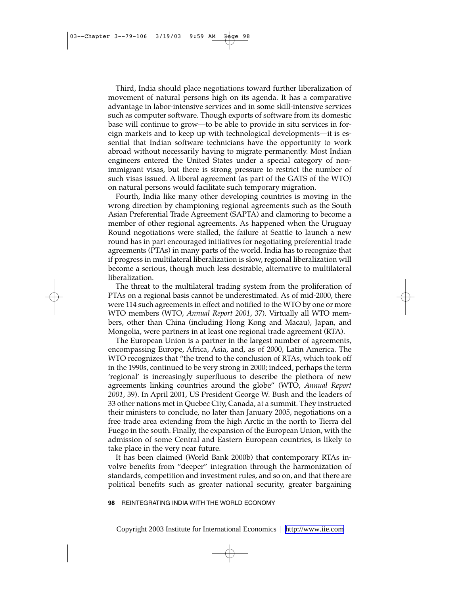Third, India should place negotiations toward further liberalization of movement of natural persons high on its agenda. It has a comparative advantage in labor-intensive services and in some skill-intensive services such as computer software. Though exports of software from its domestic base will continue to grow—to be able to provide in situ services in foreign markets and to keep up with technological developments—it is essential that Indian software technicians have the opportunity to work abroad without necessarily having to migrate permanently. Most Indian engineers entered the United States under a special category of nonimmigrant visas, but there is strong pressure to restrict the number of such visas issued. A liberal agreement (as part of the GATS of the WTO) on natural persons would facilitate such temporary migration.

Fourth, India like many other developing countries is moving in the wrong direction by championing regional agreements such as the South Asian Preferential Trade Agreement (SAPTA) and clamoring to become a member of other regional agreements. As happened when the Uruguay Round negotiations were stalled, the failure at Seattle to launch a new round has in part encouraged initiatives for negotiating preferential trade agreements (PTAs) in many parts of the world. India has to recognize that if progress in multilateral liberalization is slow, regional liberalization will become a serious, though much less desirable, alternative to multilateral liberalization.

The threat to the multilateral trading system from the proliferation of PTAs on a regional basis cannot be underestimated. As of mid-2000, there were 114 such agreements in effect and notified to the WTO by one or more WTO members (WTO, *Annual Report 2001*, 37). Virtually all WTO members, other than China (including Hong Kong and Macau), Japan, and Mongolia, were partners in at least one regional trade agreement (RTA).

The European Union is a partner in the largest number of agreements, encompassing Europe, Africa, Asia, and, as of 2000, Latin America. The WTO recognizes that "the trend to the conclusion of RTAs, which took off in the 1990s, continued to be very strong in 2000; indeed, perhaps the term 'regional' is increasingly superfluous to describe the plethora of new agreements linking countries around the globe" (WTO, *Annual Report 2001*, 39). In April 2001, US President George W. Bush and the leaders of 33 other nations met in Quebec City, Canada, at a summit. They instructed their ministers to conclude, no later than January 2005, negotiations on a free trade area extending from the high Arctic in the north to Tierra del Fuego in the south. Finally, the expansion of the European Union, with the admission of some Central and Eastern European countries, is likely to take place in the very near future.

It has been claimed (World Bank 2000b) that contemporary RTAs involve benefits from "deeper" integration through the harmonization of standards, competition and investment rules, and so on, and that there are political benefits such as greater national security, greater bargaining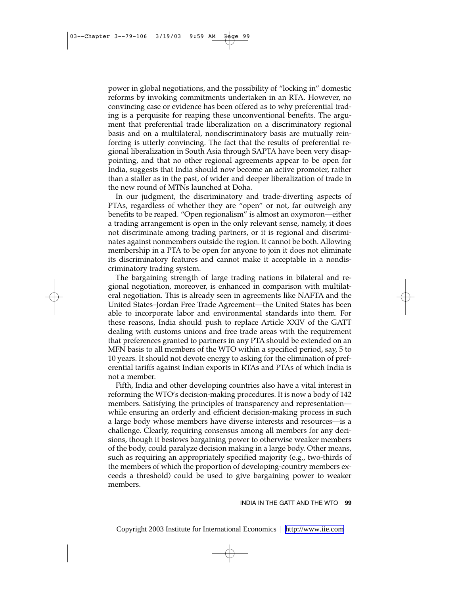power in global negotiations, and the possibility of "locking in" domestic reforms by invoking commitments undertaken in an RTA. However, no convincing case or evidence has been offered as to why preferential trading is a perquisite for reaping these unconventional benefits. The argument that preferential trade liberalization on a discriminatory regional basis and on a multilateral, nondiscriminatory basis are mutually reinforcing is utterly convincing. The fact that the results of preferential regional liberalization in South Asia through SAPTA have been very disappointing, and that no other regional agreements appear to be open for India, suggests that India should now become an active promoter, rather than a staller as in the past, of wider and deeper liberalization of trade in the new round of MTNs launched at Doha.

In our judgment, the discriminatory and trade-diverting aspects of PTAs, regardless of whether they are "open" or not, far outweigh any benefits to be reaped. "Open regionalism" is almost an oxymoron—either a trading arrangement is open in the only relevant sense, namely, it does not discriminate among trading partners, or it is regional and discriminates against nonmembers outside the region. It cannot be both. Allowing membership in a PTA to be open for anyone to join it does not eliminate its discriminatory features and cannot make it acceptable in a nondiscriminatory trading system.

The bargaining strength of large trading nations in bilateral and regional negotiation, moreover, is enhanced in comparison with multilateral negotiation. This is already seen in agreements like NAFTA and the United States–Jordan Free Trade Agreement—the United States has been able to incorporate labor and environmental standards into them. For these reasons, India should push to replace Article XXIV of the GATT dealing with customs unions and free trade areas with the requirement that preferences granted to partners in any PTA should be extended on an MFN basis to all members of the WTO within a specified period, say, 5 to 10 years. It should not devote energy to asking for the elimination of preferential tariffs against Indian exports in RTAs and PTAs of which India is not a member.

Fifth, India and other developing countries also have a vital interest in reforming the WTO's decision-making procedures. It is now a body of 142 members. Satisfying the principles of transparency and representation while ensuring an orderly and efficient decision-making process in such a large body whose members have diverse interests and resources—is a challenge. Clearly, requiring consensus among all members for any decisions, though it bestows bargaining power to otherwise weaker members of the body, could paralyze decision making in a large body. Other means, such as requiring an appropriately specified majority (e.g., two-thirds of the members of which the proportion of developing-country members exceeds a threshold) could be used to give bargaining power to weaker members.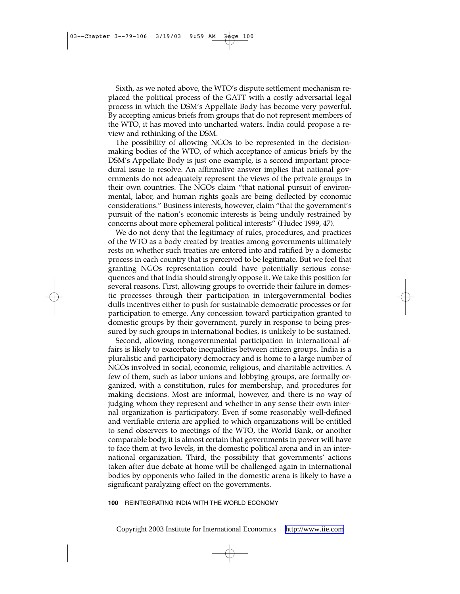Sixth, as we noted above, the WTO's dispute settlement mechanism replaced the political process of the GATT with a costly adversarial legal process in which the DSM's Appellate Body has become very powerful. By accepting amicus briefs from groups that do not represent members of the WTO, it has moved into uncharted waters. India could propose a review and rethinking of the DSM.

The possibility of allowing NGOs to be represented in the decisionmaking bodies of the WTO, of which acceptance of amicus briefs by the DSM's Appellate Body is just one example, is a second important procedural issue to resolve. An affirmative answer implies that national governments do not adequately represent the views of the private groups in their own countries. The NGOs claim "that national pursuit of environmental, labor, and human rights goals are being deflected by economic considerations." Business interests, however, claim "that the government's pursuit of the nation's economic interests is being unduly restrained by concerns about more ephemeral political interests" (Hudec 1999, 47).

We do not deny that the legitimacy of rules, procedures, and practices of the WTO as a body created by treaties among governments ultimately rests on whether such treaties are entered into and ratified by a domestic process in each country that is perceived to be legitimate. But we feel that granting NGOs representation could have potentially serious consequences and that India should strongly oppose it. We take this position for several reasons. First, allowing groups to override their failure in domestic processes through their participation in intergovernmental bodies dulls incentives either to push for sustainable democratic processes or for participation to emerge. Any concession toward participation granted to domestic groups by their government, purely in response to being pressured by such groups in international bodies, is unlikely to be sustained.

Second, allowing nongovernmental participation in international affairs is likely to exacerbate inequalities between citizen groups. India is a pluralistic and participatory democracy and is home to a large number of NGOs involved in social, economic, religious, and charitable activities. A few of them, such as labor unions and lobbying groups, are formally organized, with a constitution, rules for membership, and procedures for making decisions. Most are informal, however, and there is no way of judging whom they represent and whether in any sense their own internal organization is participatory. Even if some reasonably well-defined and verifiable criteria are applied to which organizations will be entitled to send observers to meetings of the WTO, the World Bank, or another comparable body, it is almost certain that governments in power will have to face them at two levels, in the domestic political arena and in an international organization. Third, the possibility that governments' actions taken after due debate at home will be challenged again in international bodies by opponents who failed in the domestic arena is likely to have a significant paralyzing effect on the governments.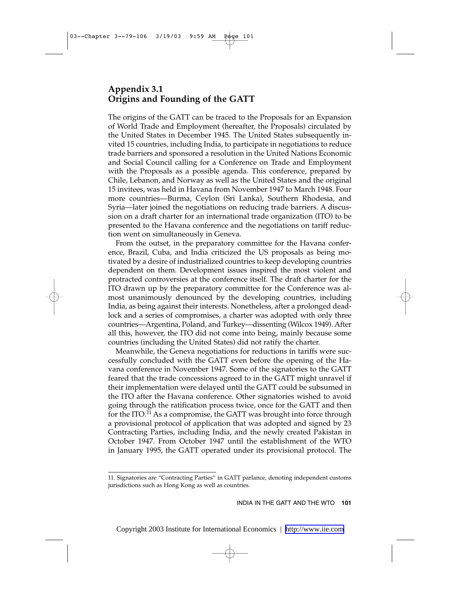# **Appendix 3.1 Origins and Founding of the GATT**

The origins of the GATT can be traced to the Proposals for an Expansion of World Trade and Employment (hereafter, the Proposals) circulated by the United States in December 1945. The United States subsequently invited 15 countries, including India, to participate in negotiations to reduce trade barriers and sponsored a resolution in the United Nations Economic and Social Council calling for a Conference on Trade and Employment with the Proposals as a possible agenda. This conference, prepared by Chile, Lebanon, and Norway as well as the United States and the original 15 invitees, was held in Havana from November 1947 to March 1948. Four more countries—Burma, Ceylon (Sri Lanka), Southern Rhodesia, and Syria—later joined the negotiations on reducing trade barriers. A discussion on a draft charter for an international trade organization (ITO) to be presented to the Havana conference and the negotiations on tariff reduction went on simultaneously in Geneva.

From the outset, in the preparatory committee for the Havana conference, Brazil, Cuba, and India criticized the US proposals as being motivated by a desire of industrialized countries to keep developing countries dependent on them. Development issues inspired the most violent and protracted controversies at the conference itself. The draft charter for the ITO drawn up by the preparatory committee for the Conference was almost unanimously denounced by the developing countries, including India, as being against their interests. Nonetheless, after a prolonged deadlock and a series of compromises, a charter was adopted with only three countries—Argentina, Poland, and Turkey—dissenting (Wilcox 1949). After all this, however, the ITO did not come into being, mainly because some countries (including the United States) did not ratify the charter.

Meanwhile, the Geneva negotiations for reductions in tariffs were successfully concluded with the GATT even before the opening of the Havana conference in November 1947. Some of the signatories to the GATT feared that the trade concessions agreed to in the GATT might unravel if their implementation were delayed until the GATT could be subsumed in the ITO after the Havana conference. Other signatories wished to avoid going through the ratification process twice, once for the GATT and then for the ITO.<sup>11</sup> As a compromise, the GATT was brought into force through a provisional protocol of application that was adopted and signed by 23 Contracting Parties, including India, and the newly created Pakistan in October 1947. From October 1947 until the establishment of the WTO in January 1995, the GATT operated under its provisional protocol. The

INDIA IN THE GATT AND THE WTO **101**

<sup>11.</sup> Signatories are "Contracting Parties" in GATT parlance, denoting independent customs jurisdictions such as Hong Kong as well as countries.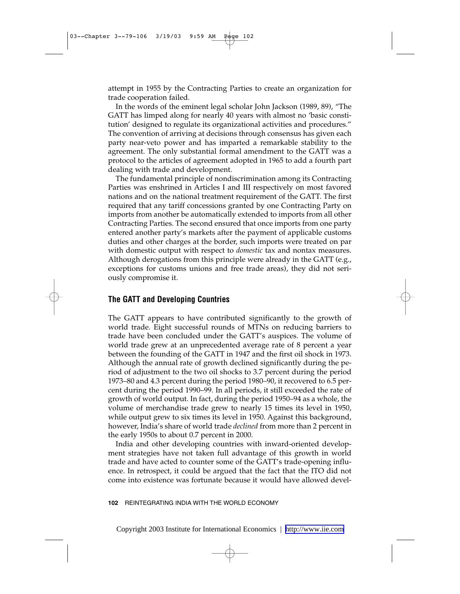attempt in 1955 by the Contracting Parties to create an organization for trade cooperation failed.

In the words of the eminent legal scholar John Jackson (1989, 89), "The GATT has limped along for nearly 40 years with almost no 'basic constitution' designed to regulate its organizational activities and procedures." The convention of arriving at decisions through consensus has given each party near-veto power and has imparted a remarkable stability to the agreement. The only substantial formal amendment to the GATT was a protocol to the articles of agreement adopted in 1965 to add a fourth part dealing with trade and development.

The fundamental principle of nondiscrimination among its Contracting Parties was enshrined in Articles I and III respectively on most favored nations and on the national treatment requirement of the GATT. The first required that any tariff concessions granted by one Contracting Party on imports from another be automatically extended to imports from all other Contracting Parties. The second ensured that once imports from one party entered another party's markets after the payment of applicable customs duties and other charges at the border, such imports were treated on par with domestic output with respect to *domestic* tax and nontax measures. Although derogations from this principle were already in the GATT (e.g., exceptions for customs unions and free trade areas), they did not seriously compromise it.

#### **The GATT and Developing Countries**

The GATT appears to have contributed significantly to the growth of world trade. Eight successful rounds of MTNs on reducing barriers to trade have been concluded under the GATT's auspices. The volume of world trade grew at an unprecedented average rate of 8 percent a year between the founding of the GATT in 1947 and the first oil shock in 1973. Although the annual rate of growth declined significantly during the period of adjustment to the two oil shocks to 3.7 percent during the period 1973–80 and 4.3 percent during the period 1980–90, it recovered to 6.5 percent during the period 1990–99. In all periods, it still exceeded the rate of growth of world output. In fact, during the period 1950–94 as a whole, the volume of merchandise trade grew to nearly 15 times its level in 1950, while output grew to six times its level in 1950. Against this background, however, India's share of world trade *declined* from more than 2 percent in the early 1950s to about 0.7 percent in 2000.

India and other developing countries with inward-oriented development strategies have not taken full advantage of this growth in world trade and have acted to counter some of the GATT's trade-opening influence. In retrospect, it could be argued that the fact that the ITO did not come into existence was fortunate because it would have allowed devel-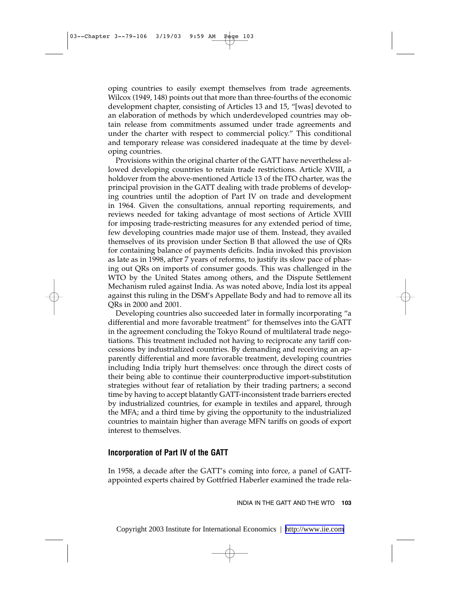oping countries to easily exempt themselves from trade agreements. Wilcox (1949, 148) points out that more than three-fourths of the economic development chapter, consisting of Articles 13 and 15, "[was] devoted to an elaboration of methods by which underdeveloped countries may obtain release from commitments assumed under trade agreements and under the charter with respect to commercial policy." This conditional and temporary release was considered inadequate at the time by developing countries.

Provisions within the original charter of the GATT have nevertheless allowed developing countries to retain trade restrictions. Article XVIII, a holdover from the above-mentioned Article 13 of the ITO charter, was the principal provision in the GATT dealing with trade problems of developing countries until the adoption of Part IV on trade and development in 1964. Given the consultations, annual reporting requirements, and reviews needed for taking advantage of most sections of Article XVIII for imposing trade-restricting measures for any extended period of time, few developing countries made major use of them. Instead, they availed themselves of its provision under Section B that allowed the use of QRs for containing balance of payments deficits. India invoked this provision as late as in 1998, after 7 years of reforms, to justify its slow pace of phasing out QRs on imports of consumer goods. This was challenged in the WTO by the United States among others, and the Dispute Settlement Mechanism ruled against India. As was noted above, India lost its appeal against this ruling in the DSM's Appellate Body and had to remove all its QRs in 2000 and 2001.

Developing countries also succeeded later in formally incorporating "a differential and more favorable treatment" for themselves into the GATT in the agreement concluding the Tokyo Round of multilateral trade negotiations. This treatment included not having to reciprocate any tariff concessions by industrialized countries. By demanding and receiving an apparently differential and more favorable treatment, developing countries including India triply hurt themselves: once through the direct costs of their being able to continue their counterproductive import-substitution strategies without fear of retaliation by their trading partners; a second time by having to accept blatantly GATT-inconsistent trade barriers erected by industrialized countries, for example in textiles and apparel, through the MFA; and a third time by giving the opportunity to the industrialized countries to maintain higher than average MFN tariffs on goods of export interest to themselves.

# **Incorporation of Part IV of the GATT**

In 1958, a decade after the GATT's coming into force, a panel of GATTappointed experts chaired by Gottfried Haberler examined the trade rela-

INDIA IN THE GATT AND THE WTO **103**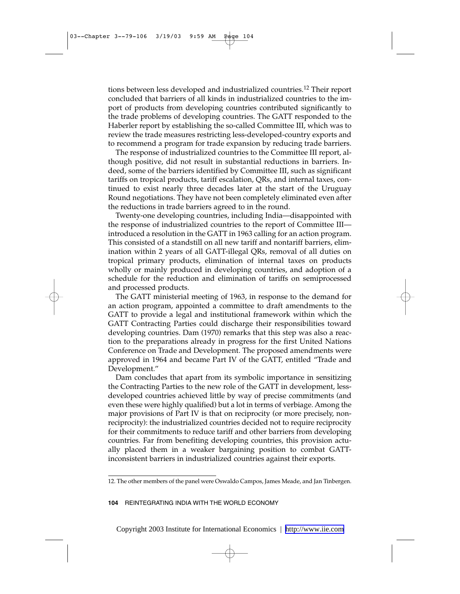tions between less developed and industrialized countries.<sup>12</sup> Their report concluded that barriers of all kinds in industrialized countries to the import of products from developing countries contributed significantly to the trade problems of developing countries. The GATT responded to the Haberler report by establishing the so-called Committee III, which was to review the trade measures restricting less-developed-country exports and to recommend a program for trade expansion by reducing trade barriers.

The response of industrialized countries to the Committee III report, although positive, did not result in substantial reductions in barriers. Indeed, some of the barriers identified by Committee III, such as significant tariffs on tropical products, tariff escalation, QRs, and internal taxes, continued to exist nearly three decades later at the start of the Uruguay Round negotiations. They have not been completely eliminated even after the reductions in trade barriers agreed to in the round.

Twenty-one developing countries, including India—disappointed with the response of industrialized countries to the report of Committee III introduced a resolution in the GATT in 1963 calling for an action program. This consisted of a standstill on all new tariff and nontariff barriers, elimination within 2 years of all GATT-illegal QRs, removal of all duties on tropical primary products, elimination of internal taxes on products wholly or mainly produced in developing countries, and adoption of a schedule for the reduction and elimination of tariffs on semiprocessed and processed products.

The GATT ministerial meeting of 1963, in response to the demand for an action program, appointed a committee to draft amendments to the GATT to provide a legal and institutional framework within which the GATT Contracting Parties could discharge their responsibilities toward developing countries. Dam (1970) remarks that this step was also a reaction to the preparations already in progress for the first United Nations Conference on Trade and Development. The proposed amendments were approved in 1964 and became Part IV of the GATT, entitled "Trade and Development."

Dam concludes that apart from its symbolic importance in sensitizing the Contracting Parties to the new role of the GATT in development, lessdeveloped countries achieved little by way of precise commitments (and even these were highly qualified) but a lot in terms of verbiage. Among the major provisions of Part IV is that on reciprocity (or more precisely, nonreciprocity): the industrialized countries decided not to require reciprocity for their commitments to reduce tariff and other barriers from developing countries. Far from benefiting developing countries, this provision actually placed them in a weaker bargaining position to combat GATTinconsistent barriers in industrialized countries against their exports.

#### **104** REINTEGRATING INDIA WITH THE WORLD ECONOMY

Copyright 2003 Institute for International Economics | <http://www.iie.com>

<sup>12.</sup> The other members of the panel were Oswaldo Campos, James Meade, and Jan Tinbergen.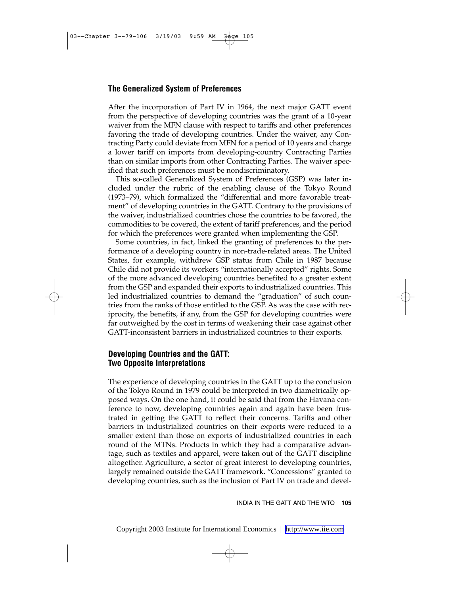# **The Generalized System of Preferences**

After the incorporation of Part IV in 1964, the next major GATT event from the perspective of developing countries was the grant of a 10-year waiver from the MFN clause with respect to tariffs and other preferences favoring the trade of developing countries. Under the waiver, any Contracting Party could deviate from MFN for a period of 10 years and charge a lower tariff on imports from developing-country Contracting Parties than on similar imports from other Contracting Parties. The waiver specified that such preferences must be nondiscriminatory.

This so-called Generalized System of Preferences (GSP) was later included under the rubric of the enabling clause of the Tokyo Round (1973–79), which formalized the "differential and more favorable treatment" of developing countries in the GATT. Contrary to the provisions of the waiver, industrialized countries chose the countries to be favored, the commodities to be covered, the extent of tariff preferences, and the period for which the preferences were granted when implementing the GSP.

Some countries, in fact, linked the granting of preferences to the performance of a developing country in non-trade-related areas. The United States, for example, withdrew GSP status from Chile in 1987 because Chile did not provide its workers "internationally accepted" rights. Some of the more advanced developing countries benefited to a greater extent from the GSP and expanded their exports to industrialized countries. This led industrialized countries to demand the "graduation" of such countries from the ranks of those entitled to the GSP. As was the case with reciprocity, the benefits, if any, from the GSP for developing countries were far outweighed by the cost in terms of weakening their case against other GATT-inconsistent barriers in industrialized countries to their exports.

#### **Developing Countries and the GATT: Two Opposite Interpretations**

The experience of developing countries in the GATT up to the conclusion of the Tokyo Round in 1979 could be interpreted in two diametrically opposed ways. On the one hand, it could be said that from the Havana conference to now, developing countries again and again have been frustrated in getting the GATT to reflect their concerns. Tariffs and other barriers in industrialized countries on their exports were reduced to a smaller extent than those on exports of industrialized countries in each round of the MTNs. Products in which they had a comparative advantage, such as textiles and apparel, were taken out of the GATT discipline altogether. Agriculture, a sector of great interest to developing countries, largely remained outside the GATT framework. "Concessions" granted to developing countries, such as the inclusion of Part IV on trade and devel-

INDIA IN THE GATT AND THE WTO **105**